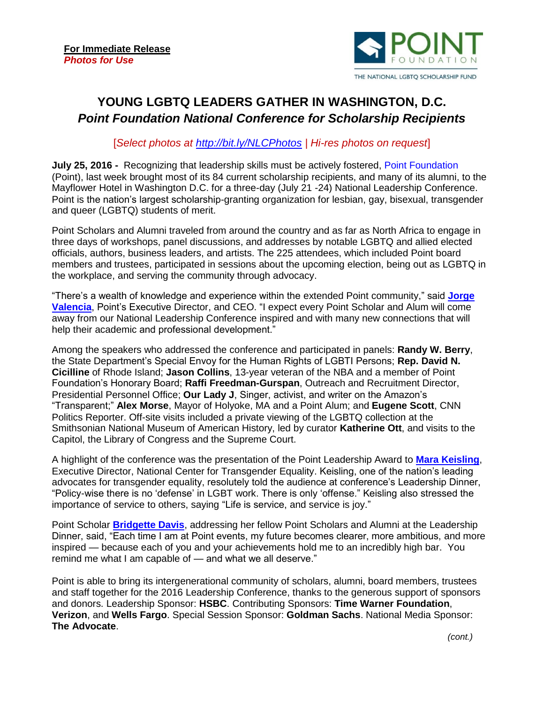

## **YOUNG LGBTQ LEADERS GATHER IN WASHINGTON, D.C.**  *Point Foundation National Conference for Scholarship Recipients*

## [*Select photos at<http://bit.ly/NLCPhotos> | Hi-res photos on request*]

**July 25, 2016 -** Recognizing that leadership skills must be actively fostered, [Point Foundation](http://www.pointfoundation.org/) (Point), last week brought most of its 84 current scholarship recipients, and many of its alumni, to the Mayflower Hotel in Washington D.C. for a three-day (July 21 -24) National Leadership Conference. Point is the nation's largest scholarship-granting organization for lesbian, gay, bisexual, transgender and queer (LGBTQ) students of merit.

Point Scholars and Alumni traveled from around the country and as far as North Africa to engage in three days of workshops, panel discussions, and addresses by notable LGBTQ and allied elected officials, authors, business leaders, and artists. The 225 attendees, which included Point board members and trustees, participated in sessions about the upcoming election, being out as LGBTQ in the workplace, and serving the community through advocacy.

"There's a wealth of knowledge and experience within the extended Point community," said **[Jorge](https://www.pointfoundation.org/thepoint/jorge-valencia/)  [Valencia](https://www.pointfoundation.org/thepoint/jorge-valencia/)**, Point's Executive Director, and CEO. "I expect every Point Scholar and Alum will come away from our National Leadership Conference inspired and with many new connections that will help their academic and professional development."

Among the speakers who addressed the conference and participated in panels: **Randy W. Berry**, the State Department's Special Envoy for the Human Rights of LGBTI Persons; **Rep. David N. Cicilline** of Rhode Island; **Jason Collins**, 13-year veteran of the NBA and a member of Point Foundation's Honorary Board; **Raffi Freedman-Gurspan**, Outreach and Recruitment Director, Presidential Personnel Office; **Our Lady J**, Singer, activist, and writer on the Amazon's "Transparent;" **Alex Morse**, Mayor of Holyoke, MA and a Point Alum; and **Eugene Scott**, CNN Politics Reporter. Off-site visits included a private viewing of the LGBTQ collection at the Smithsonian National Museum of American History, led by curator **Katherine Ott**, and visits to the Capitol, the Library of Congress and the Supreme Court.

A highlight of the conference was the presentation of the Point Leadership Award to **[Mara Keisling](http://www.transequality.org/about/people/mara-keisling-she-her)**, Executive Director, National Center for Transgender Equality. Keisling, one of the nation's leading advocates for transgender equality, resolutely told the audience at conference's Leadership Dinner, "Policy-wise there is no 'defense' in LGBT work. There is only 'offense." Keisling also stressed the importance of service to others, saying "Life is service, and service is joy."

Point Scholar **[Bridgette Davis](https://www.pointfoundation.org/scholars/bridgette-davis-2/)**, addressing her fellow Point Scholars and Alumni at the Leadership Dinner, said, "Each time I am at Point events, my future becomes clearer, more ambitious, and more inspired — because each of you and your achievements hold me to an incredibly high bar. You remind me what I am capable of — and what we all deserve."

Point is able to bring its intergenerational community of scholars, alumni, board members, trustees and staff together for the 2016 Leadership Conference, thanks to the generous support of sponsors and donors. Leadership Sponsor: **HSBC**. Contributing Sponsors: **Time Warner Foundation**, **Verizon**, and **Wells Fargo**. Special Session Sponsor: **Goldman Sachs**. National Media Sponsor: **The Advocate**.